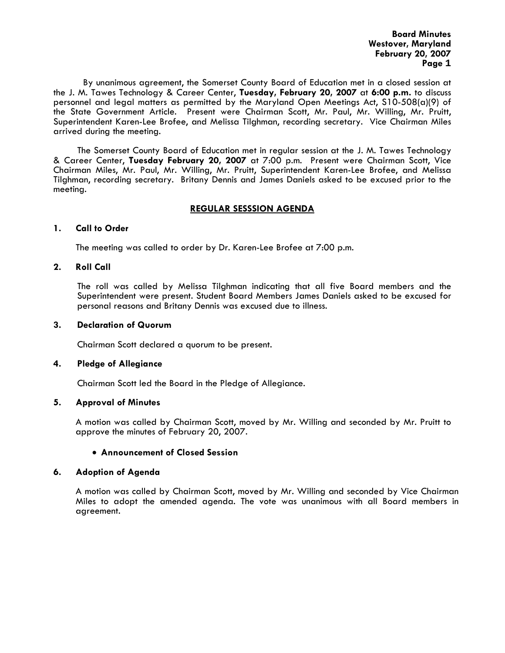**Board Minutes Westover, Maryland February 20, 2007 Page 1** 

 By unanimous agreement, the Somerset County Board of Education met in a closed session at the J. M. Tawes Technology & Career Center, **Tuesday, February 20, 2007** at **6:00 p.m.** to discuss personnel and legal matters as permitted by the Maryland Open Meetings Act, S10-508(a)(9) of the State Government Article. Present were Chairman Scott, Mr. Paul, Mr. Willing, Mr. Pruitt, Superintendent Karen-Lee Brofee, and Melissa Tilghman, recording secretary. Vice Chairman Miles arrived during the meeting.

The Somerset County Board of Education met in regular session at the J. M. Tawes Technology & Career Center, **Tuesday February 20, 2007** at 7:00 p.m. Present were Chairman Scott, Vice Chairman Miles, Mr. Paul, Mr. Willing, Mr. Pruitt, Superintendent Karen-Lee Brofee, and Melissa Tilghman, recording secretary. Britany Dennis and James Daniels asked to be excused prior to the meeting.

# **REGULAR SESSSION AGENDA**

#### **1. Call to Order**

The meeting was called to order by Dr. Karen-Lee Brofee at 7:00 p.m.

#### **2. Roll Call**

The roll was called by Melissa Tilghman indicating that all five Board members and the Superintendent were present. Student Board Members James Daniels asked to be excused for personal reasons and Britany Dennis was excused due to illness.

#### **3. Declaration of Quorum**

Chairman Scott declared a quorum to be present.

#### **4. Pledge of Allegiance**

Chairman Scott led the Board in the Pledge of Allegiance.

# **5. Approval of Minutes**

 A motion was called by Chairman Scott, moved by Mr. Willing and seconded by Mr. Pruitt to approve the minutes of February 20, 2007.

# • **Announcement of Closed Session**

# **6. Adoption of Agenda**

 A motion was called by Chairman Scott, moved by Mr. Willing and seconded by Vice Chairman Miles to adopt the amended agenda. The vote was unanimous with all Board members in agreement.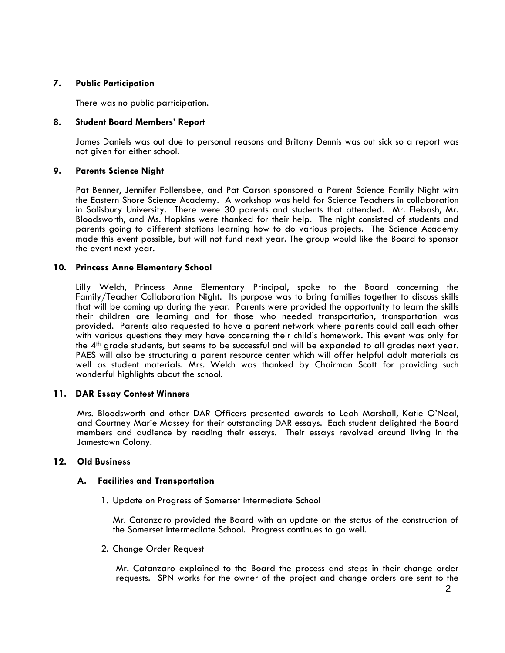# **7. Public Participation**

There was no public participation.

# **8. Student Board Members' Report**

James Daniels was out due to personal reasons and Britany Dennis was out sick so a report was not given for either school.

# **9. Parents Science Night**

Pat Benner, Jennifer Follensbee, and Pat Carson sponsored a Parent Science Family Night with the Eastern Shore Science Academy. A workshop was held for Science Teachers in collaboration in Salisbury University. There were 30 parents and students that attended. Mr. Elebash, Mr. Bloodsworth, and Ms. Hopkins were thanked for their help. The night consisted of students and parents going to different stations learning how to do various projects. The Science Academy made this event possible, but will not fund next year. The group would like the Board to sponsor the event next year.

# **10. Princess Anne Elementary School**

Lilly Welch, Princess Anne Elementary Principal, spoke to the Board concerning the Family/Teacher Collaboration Night. Its purpose was to bring families together to discuss skills that will be coming up during the year. Parents were provided the opportunity to learn the skills their children are learning and for those who needed transportation, transportation was provided. Parents also requested to have a parent network where parents could call each other with various questions they may have concerning their child's homework. This event was only for the 4<sup>th</sup> grade students, but seems to be successful and will be expanded to all grades next year. PAES will also be structuring a parent resource center which will offer helpful adult materials as well as student materials. Mrs. Welch was thanked by Chairman Scott for providing such wonderful highlights about the school.

# **11. DAR Essay Contest Winners**

Mrs. Bloodsworth and other DAR Officers presented awards to Leah Marshall, Katie O'Neal, and Courtney Marie Massey for their outstanding DAR essays. Each student delighted the Board members and audience by reading their essays. Their essays revolved around living in the Jamestown Colony.

# **12. Old Business**

# **A. Facilities and Transportation**

1. Update on Progress of Somerset Intermediate School

Mr. Catanzaro provided the Board with an update on the status of the construction of the Somerset Intermediate School. Progress continues to go well.

2. Change Order Request

Mr. Catanzaro explained to the Board the process and steps in their change order requests. SPN works for the owner of the project and change orders are sent to the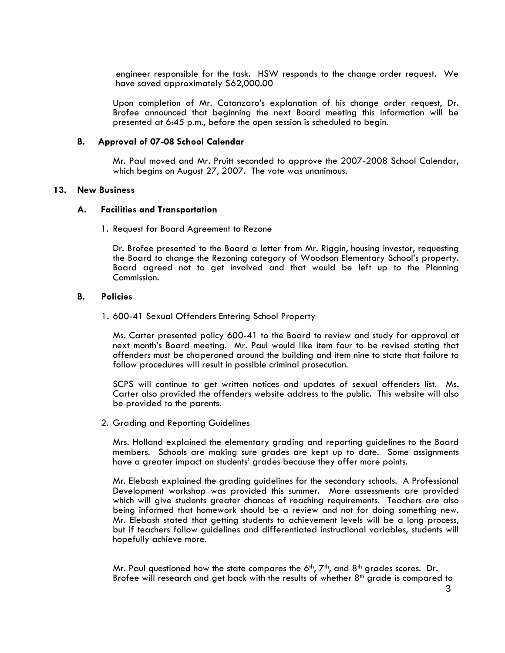engineer responsible for the task. HSW responds to the change order request. We have saved approximately \$62,000.00

Upon completion of Mr. Catanzaro's explanation of his change order request, Dr. Brofee announced that beginning the next Board meeting this information will be presented at 6:45 p.m., before the open session is scheduled to begin.

#### **B. Approval of 07-08 School Calendar**

Mr. Paul moved and Mr. Pruitt seconded to approve the 2007-2008 School Calendar, which begins on August 27, 2007. The vote was unanimous.

#### **13. New Business**

#### **A. Facilities and Transportation**

1. Request for Board Agreement to Rezone

Dr. Brofee presented to the Board a letter from Mr. Riggin, housing investor, requesting the Board to change the Rezoning category of Woodson Elementary School's property. Board agreed not to get involved and that would be left up to the Planning Commission.

#### **B. Policies**

1. 600-41 Sexual Offenders Entering School Property

Ms. Carter presented policy 600-41 to the Board to review and study for approval at next month's Board meeting. Mr. Paul would like item four to be revised stating that offenders must be chaperoned around the building and item nine to state that failure to follow procedures will result in possible criminal prosecution.

SCPS will continue to get written notices and updates of sexual offenders list. Ms. Carter also provided the offenders website address to the public. This website will also be provided to the parents.

2. Grading and Reporting Guidelines

Mrs. Holland explained the elementary grading and reporting guidelines to the Board members. Schools are making sure grades are kept up to date. Some assignments have a greater impact on students' grades because they offer more points.

Mr. Elebash explained the grading guidelines for the secondary schools. A Professional Development workshop was provided this summer. More assessments are provided which will give students greater chances of reaching requirements. Teachers are also being informed that homework should be a review and not for doing something new. Mr. Elebash stated that getting students to achievement levels will be a long process, but if teachers follow guidelines and differentiated instructional variables, students will hopefully achieve more.

Mr. Paul questioned how the state compares the  $6<sup>th</sup>$ ,  $7<sup>th</sup>$ , and  $8<sup>th</sup>$  grades scores. Dr. Brofee will research and get back with the results of whether 8<sup>th</sup> grade is compared to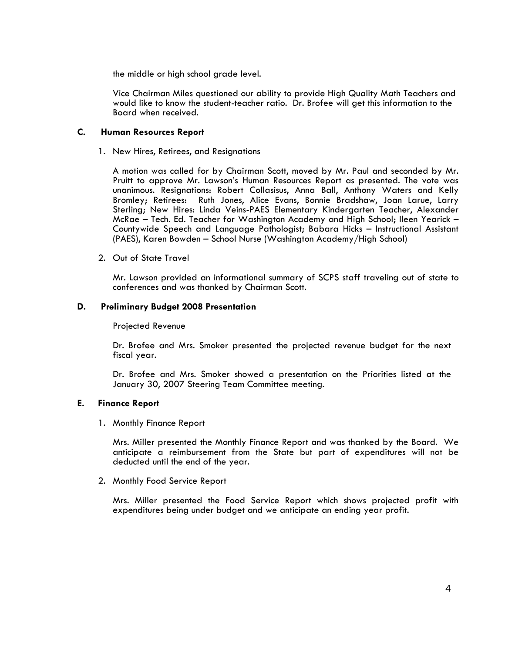the middle or high school grade level.

Vice Chairman Miles questioned our ability to provide High Quality Math Teachers and would like to know the student-teacher ratio. Dr. Brofee will get this information to the Board when received.

# **C. Human Resources Report**

1. New Hires, Retirees, and Resignations

A motion was called for by Chairman Scott, moved by Mr. Paul and seconded by Mr. Pruitt to approve Mr. Lawson's Human Resources Report as presented. The vote was unanimous. Resignations: Robert Collasisus, Anna Ball, Anthony Waters and Kelly Bromley; Retirees: Ruth Jones, Alice Evans, Bonnie Bradshaw, Joan Larue, Larry Sterling; New Hires: Linda Veins-PAES Elementary Kindergarten Teacher, Alexander McRae – Tech. Ed. Teacher for Washington Academy and High School; Ileen Yearick – Countywide Speech and Language Pathologist; Babara Hicks – Instructional Assistant (PAES), Karen Bowden – School Nurse (Washington Academy/High School)

2. Out of State Travel

Mr. Lawson provided an informational summary of SCPS staff traveling out of state to conferences and was thanked by Chairman Scott.

#### **D. Preliminary Budget 2008 Presentation**

Projected Revenue

Dr. Brofee and Mrs. Smoker presented the projected revenue budget for the next fiscal year.<br>Dr. Brofee and Mrs. Smoker showed a presentation on the Priorities listed at the

January 30, 2007 Steering Team Committee meeting.

# **E. Finance Report**

1. Monthly Finance Report<br>Mrs. Miller presented the Monthly Finance Report and was thanked by the Board. We anticipate a reimbursement from the State but part of expenditures will not be deducted until the end of the year.

2. Monthly Food Service Report<br>Mrs. Miller presented the Food Service Report which shows projected profit with expenditures being under budget and we anticipate an ending year profit.